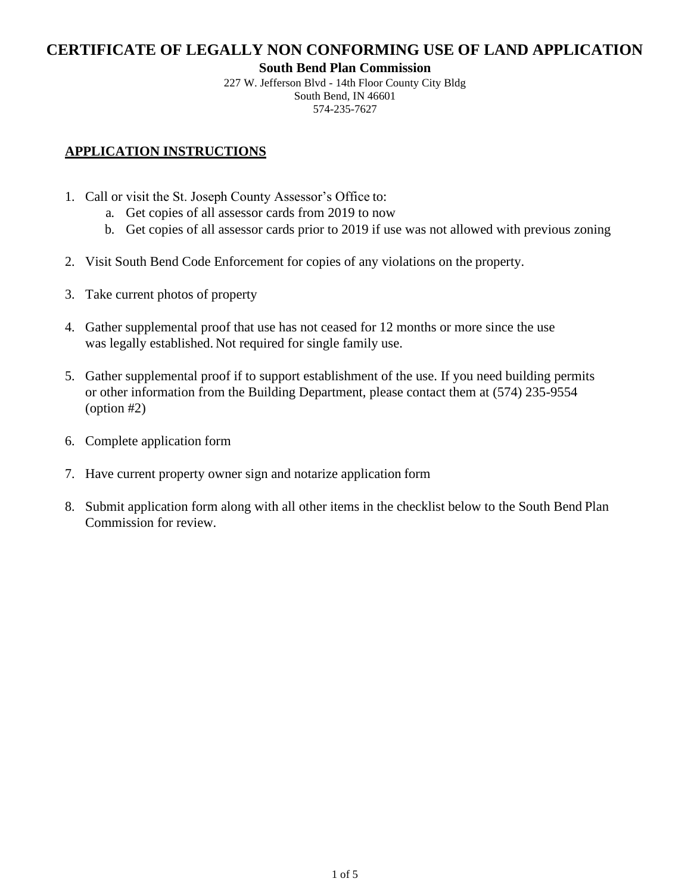#### **South Bend Plan Commission**

227 W. Jefferson Blvd - 14th Floor County City Bldg South Bend, IN 46601 [574-235-7627](mailto:building@southbendin.gov)

## **APPLICATION INSTRUCTIONS**

- 1. Call or visit the St. Joseph County Assessor's Office to:
	- a. Get copies of all assessor cards from 2019 to now
	- b. Get copies of all assessor cards prior to 2019 if use was not allowed with previous zoning
- 2. Visit South Bend Code Enforcement for copies of any violations on the property.
- 3. Take current photos of property
- 4. Gather supplemental proof that use has not ceased for 12 months or more since the use was legally established. Not required for single family use.
- 5. Gather supplemental proof if to support establishment of the use. If you need building permits or other information from the Building Department, please contact them at (574) 235-9554 (option #2)
- 6. Complete application form
- 7. Have current property owner sign and notarize application form
- 8. Submit application form along with all other items in the checklist below to the South Bend Plan Commission for review.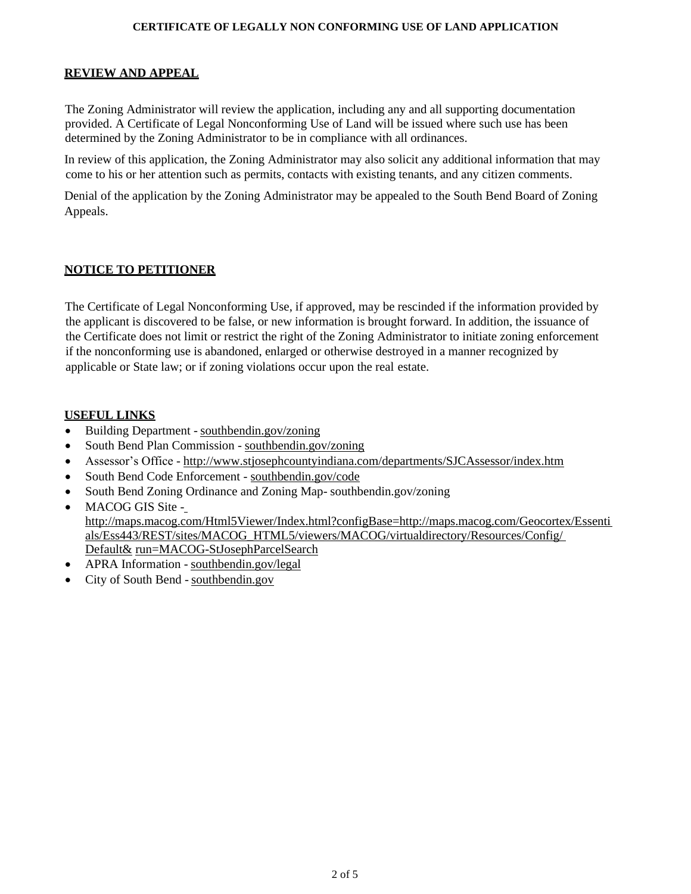#### **REVIEW AND APPEAL**

The Zoning Administrator will review the application, including any and all supporting documentation provided. A Certificate of Legal Nonconforming Use of Land will be issued where such use has been determined by the Zoning Administrator to be in compliance with all ordinances.

In review of this application, the Zoning Administrator may also solicit any additional information that may come to his or her attention such as permits, contacts with existing tenants, and any citizen comments.

Denial of the application by the Zoning Administrator may be appealed to the South Bend Board of Zoning Appeals.

### **NOTICE TO PETITIONER**

The Certificate of Legal Nonconforming Use, if approved, may be rescinded if the information provided by the applicant is discovered to be false, or new information is brought forward. In addition, the issuance of the Certificate does not limit or restrict the right of the Zoning Administrator to initiate zoning enforcement if the nonconforming use is abandoned, enlarged or otherwise destroyed in a manner recognized by applicable or State law; or if zoning violations occur upon the real estate.

### **USEFUL LINKS**

- Building Department [southbendin.gov/zoning](https://www.southbendin.gov/government/department/building-department)
- South Bend Plan Commission [southbendin.gov/zoning](http://www.stjosephcountyindiana.com/departments/Areaplan/new/index.htm)
- Assessor's Office <http://www.stjosephcountyindiana.com/departments/SJCAssessor/index.htm>
- South Bend Code Enforcement [southbendin.gov/code](https://www.southbendin.gov/government/department/code-enforcement)
- South Bend Zoning Ordinance and Zoning Map- southbendin.gov/zoning
- [MACOG GIS Site](http://www.stjosephcountyindiana.com/departments/Areaplan/ordinancesb.htm)  [http://maps.macog.com/Html5Viewer/Index.html?configBase=http://maps.macog.com/Geocortex/Essenti](http://maps.macog.com/Geocortex/Essenti) [als/Ess443/REST/sites/MACOG\\_HTML5/viewers/MACOG/virtualdirectory/Resources/Config/](http://www.stjosephcountyindiana.com/departments/Areaplan/new/ordinances_zoning_county.htm) Default& run=MACOG-StJosephParcelSearch
- APRA Information [southbendin.gov/legal](http://www.stjosephcountyindiana.com/departments/Areaplan/Ordinances/Zoning%20Ordinances/South%20Bend%20Zoning%20Ordinance/Section%2021-01-03%20Nonconforming%20Lots%2C%20Uses%2C%20Buildings%2C%20Structures%20or%20Signs.pdf)
- [City of South Bend -](http://www.stjosephcountyindiana.com/departments/Areaplan/Ordinances/Zoning%20Ordinances/South%20Bend%20Zoning%20Ordinance/Section%2021-01-03%20Nonconforming%20Lots%2C%20Uses%2C%20Buildings%2C%20Structures%20or%20Signs.pdf) southbendin.gov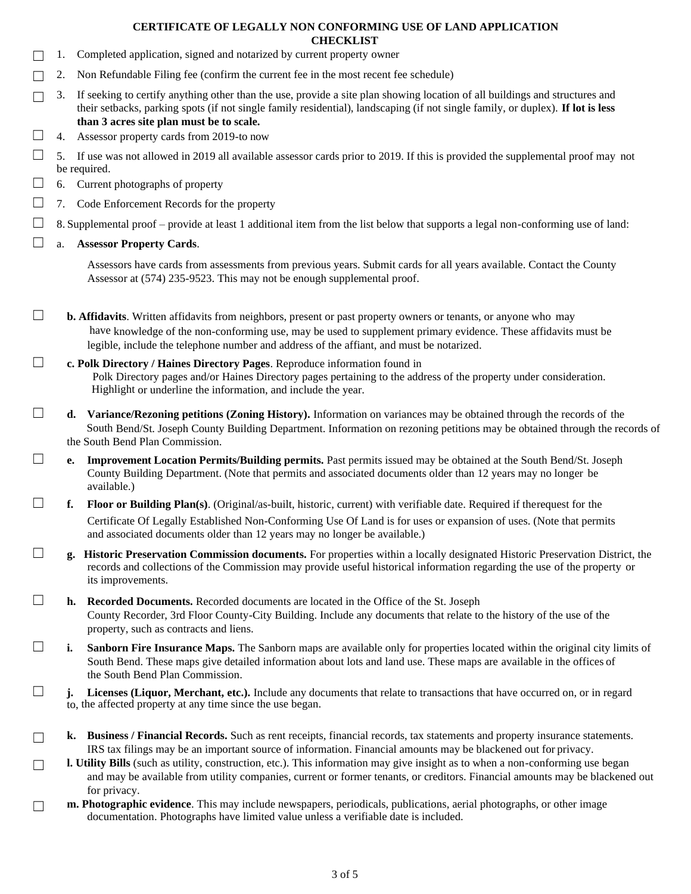- 1. Completed application, signed and notarized by current property owner
- $\Box$  2. Non Refundable Filing fee (confirm the current fee in the most recent fee schedule)
- $\Box$  3. If seeking to certify anything other than the use, provide a site plan showing location of all buildings and structures and their setbacks, parking spots (if not single family residential), landscaping (if not single family, or duplex). **If lot is less than 3 acres site plan must be to scale.**
- $\Box$  4. Assessor property cards from 2019-to now
- $\Box$  5. If use was not allowed in 2019 all available assessor cards prior to 2019. If this is provided the supplemental proof may not be required.
- $\Box$  6. Current photographs of property
- ☐ 7. Code Enforcement Records for the property
- $\Box$  8. Supplemental proof provide at least 1 additional item from the list below that supports a legal non-conforming use of land:
- ☐ a. **Assessor Property Cards**.

Assessors have cards from assessments from previous years. Submit cards for all years available. Contact the County Assessor at (574) 235-9523. This may not be enough supplemental proof.

☐ **b. Affidavits**. Written affidavits from neighbors, present or past property owners or tenants, or anyone who may have knowledge of the non-conforming use, may be used to supplement primary evidence. These affidavits must be legible, include the telephone number and address of the affiant, and must be notarized.

### ☐ **c. Polk Directory / Haines Directory Pages**. Reproduce information found in Polk Directory pages and/or Haines Directory pages pertaining to the address of the property under consideration. Highlight or underline the information, and include the year.

☐ **d. Variance/Rezoning petitions (Zoning History).** Information on variances may be obtained through the records of the South Bend/St. Joseph County Building Department. Information on rezoning petitions may be obtained through the records of the South Bend Plan Commission.

- ☐ **e. Improvement Location Permits/Building permits.** Past permits issued may be obtained at the South Bend/St. Joseph County Building Department. (Note that permits and associated documents older than 12 years may no longer be available.)
- ☐ **f. Floor or Building Plan(s)**. (Original/as-built, historic, current) with verifiable date. Required if therequest for the Certificate Of Legally Established Non-Conforming Use Of Land is for uses or expansion of uses. (Note that permits and associated documents older than 12 years may no longer be available.)
- ☐ **g. Historic Preservation Commission documents.** For properties within a locally designated Historic Preservation District, the records and collections of the Commission may provide useful historical information regarding the use of the property or its improvements.
- ☐ **h. Recorded Documents.** Recorded documents are located in the Office of the St. Joseph County Recorder, 3rd Floor County-City Building. Include any documents that relate to the history of the use of the property, such as contracts and liens.
- ☐ **i. Sanborn Fire Insurance Maps.** The Sanborn maps are available only for properties located within the original city limits of South Bend. These maps give detailed information about lots and land use. These maps are available in the offices of the South Bend Plan Commission.
- ☐ **j. Licenses (Liquor, Merchant, etc.).** Include any documents that relate to transactions that have occurred on, or in regard to, the affected property at any time since the use began.
- ☐ **k. Business / Financial Records.** Such as rent receipts, financial records, tax statements and property insurance statements. IRS tax filings may be an important source of information. Financial amounts may be blackened out for privacy.
- □ **l. Utility Bills** (such as utility, construction, etc.). This information may give insight as to when a non-conforming use began and may be available from utility companies, current or former tenants, or creditors. Financial amounts may be blackened out for privacy.
- □ **m. Photographic evidence**. This may include newspapers, periodicals, publications, aerial photographs, or other image documentation. Photographs have limited value unless a verifiable date is included.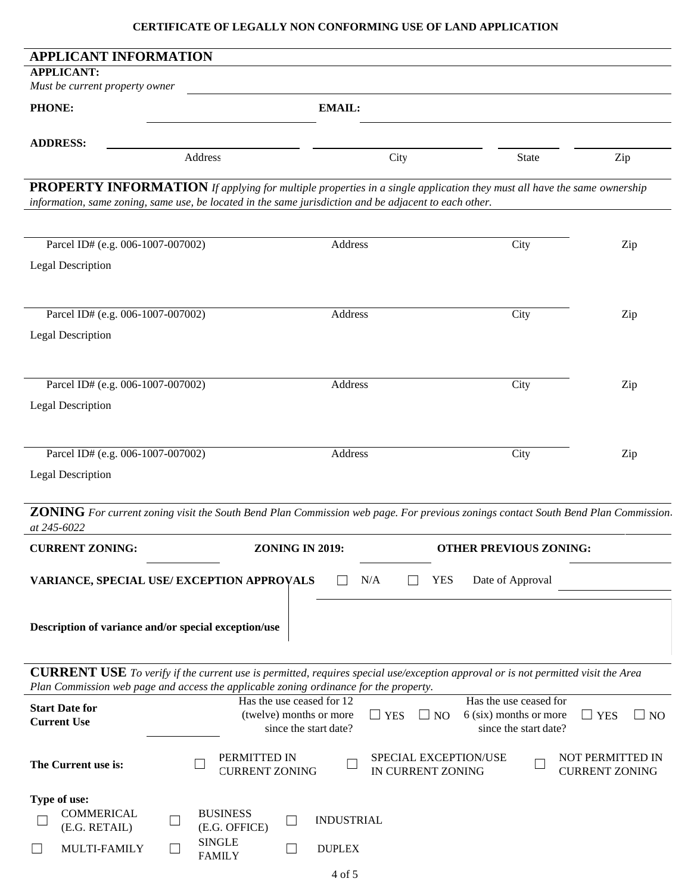| <b>APPLICANT INFORMATION</b>                                                                                                                                                                                                      |                                                                                                        |                                     |                                                                                                                                   |                                           |  |  |  |  |  |  |
|-----------------------------------------------------------------------------------------------------------------------------------------------------------------------------------------------------------------------------------|--------------------------------------------------------------------------------------------------------|-------------------------------------|-----------------------------------------------------------------------------------------------------------------------------------|-------------------------------------------|--|--|--|--|--|--|
| <b>APPLICANT:</b><br>Must be current property owner                                                                                                                                                                               |                                                                                                        |                                     |                                                                                                                                   |                                           |  |  |  |  |  |  |
| <b>PHONE:</b>                                                                                                                                                                                                                     | <b>EMAIL:</b>                                                                                          |                                     |                                                                                                                                   |                                           |  |  |  |  |  |  |
|                                                                                                                                                                                                                                   |                                                                                                        |                                     |                                                                                                                                   |                                           |  |  |  |  |  |  |
| <b>ADDRESS:</b>                                                                                                                                                                                                                   | Address                                                                                                | City                                | State                                                                                                                             | Zip                                       |  |  |  |  |  |  |
|                                                                                                                                                                                                                                   |                                                                                                        |                                     |                                                                                                                                   |                                           |  |  |  |  |  |  |
|                                                                                                                                                                                                                                   | information, same zoning, same use, be located in the same jurisdiction and be adjacent to each other. |                                     | <b>PROPERTY INFORMATION</b> If applying for multiple properties in a single application they must all have the same ownership     |                                           |  |  |  |  |  |  |
|                                                                                                                                                                                                                                   |                                                                                                        |                                     |                                                                                                                                   |                                           |  |  |  |  |  |  |
| Parcel ID# (e.g. 006-1007-007002)                                                                                                                                                                                                 |                                                                                                        | Address                             | City                                                                                                                              | Zip                                       |  |  |  |  |  |  |
| <b>Legal Description</b>                                                                                                                                                                                                          |                                                                                                        |                                     |                                                                                                                                   |                                           |  |  |  |  |  |  |
|                                                                                                                                                                                                                                   |                                                                                                        |                                     |                                                                                                                                   |                                           |  |  |  |  |  |  |
| Parcel ID# (e.g. 006-1007-007002)                                                                                                                                                                                                 |                                                                                                        | Address                             | City                                                                                                                              | Zip                                       |  |  |  |  |  |  |
| <b>Legal Description</b>                                                                                                                                                                                                          |                                                                                                        |                                     |                                                                                                                                   |                                           |  |  |  |  |  |  |
|                                                                                                                                                                                                                                   |                                                                                                        |                                     |                                                                                                                                   |                                           |  |  |  |  |  |  |
| Parcel ID# (e.g. 006-1007-007002)                                                                                                                                                                                                 |                                                                                                        | Address                             | City                                                                                                                              | Zip                                       |  |  |  |  |  |  |
| <b>Legal Description</b>                                                                                                                                                                                                          |                                                                                                        |                                     |                                                                                                                                   |                                           |  |  |  |  |  |  |
|                                                                                                                                                                                                                                   |                                                                                                        |                                     |                                                                                                                                   |                                           |  |  |  |  |  |  |
|                                                                                                                                                                                                                                   |                                                                                                        |                                     |                                                                                                                                   |                                           |  |  |  |  |  |  |
| Parcel ID# (e.g. 006-1007-007002)                                                                                                                                                                                                 |                                                                                                        | Address                             | City                                                                                                                              | Zip                                       |  |  |  |  |  |  |
| <b>Legal Description</b>                                                                                                                                                                                                          |                                                                                                        |                                     |                                                                                                                                   |                                           |  |  |  |  |  |  |
|                                                                                                                                                                                                                                   |                                                                                                        |                                     | ZONING For current zoning visit the South Bend Plan Commission web page. For previous zonings contact South Bend Plan Commission. |                                           |  |  |  |  |  |  |
| at 245-6022                                                                                                                                                                                                                       |                                                                                                        | <b>ZONING IN 2019:</b>              |                                                                                                                                   |                                           |  |  |  |  |  |  |
| <b>CURRENT ZONING:</b>                                                                                                                                                                                                            |                                                                                                        |                                     | <b>OTHER PREVIOUS ZONING:</b>                                                                                                     |                                           |  |  |  |  |  |  |
|                                                                                                                                                                                                                                   | VARIANCE, SPECIAL USE/ EXCEPTION APPROVALS                                                             | N/A                                 | <b>YES</b><br>Date of Approval                                                                                                    |                                           |  |  |  |  |  |  |
|                                                                                                                                                                                                                                   |                                                                                                        |                                     |                                                                                                                                   |                                           |  |  |  |  |  |  |
|                                                                                                                                                                                                                                   | Description of variance and/or special exception/use                                                   |                                     |                                                                                                                                   |                                           |  |  |  |  |  |  |
|                                                                                                                                                                                                                                   |                                                                                                        |                                     |                                                                                                                                   |                                           |  |  |  |  |  |  |
| <b>CURRENT USE</b> To verify if the current use is permitted, requires special use/exception approval or is not permitted visit the Area<br>Plan Commission web page and access the applicable zoning ordinance for the property. |                                                                                                        |                                     |                                                                                                                                   |                                           |  |  |  |  |  |  |
| <b>Start Date for</b>                                                                                                                                                                                                             | Has the use ceased for 12                                                                              |                                     | Has the use ceased for                                                                                                            |                                           |  |  |  |  |  |  |
| <b>Current Use</b>                                                                                                                                                                                                                | (twelve) months or more                                                                                | $\Box$ YES<br>since the start date? | 6 (six) months or more<br>$\Box$ NO<br>since the start date?                                                                      | $\Box$ YES<br>$\Box$ NO                   |  |  |  |  |  |  |
|                                                                                                                                                                                                                                   | PERMITTED IN                                                                                           |                                     |                                                                                                                                   |                                           |  |  |  |  |  |  |
| The Current use is:                                                                                                                                                                                                               | <b>CURRENT ZONING</b>                                                                                  |                                     | SPECIAL EXCEPTION/USE<br>IN CURRENT ZONING                                                                                        | NOT PERMITTED IN<br><b>CURRENT ZONING</b> |  |  |  |  |  |  |
| Type of use:                                                                                                                                                                                                                      |                                                                                                        |                                     |                                                                                                                                   |                                           |  |  |  |  |  |  |
| <b>COMMERICAL</b>                                                                                                                                                                                                                 | <b>BUSINESS</b><br>⊔                                                                                   | <b>INDUSTRIAL</b>                   |                                                                                                                                   |                                           |  |  |  |  |  |  |
| (E.G. RETAIL)                                                                                                                                                                                                                     | (E.G. OFFICE)<br><b>SINGLE</b>                                                                         |                                     |                                                                                                                                   |                                           |  |  |  |  |  |  |
| MULTI-FAMILY                                                                                                                                                                                                                      | ப<br><b>FAMILY</b>                                                                                     | <b>DUPLEX</b>                       |                                                                                                                                   |                                           |  |  |  |  |  |  |